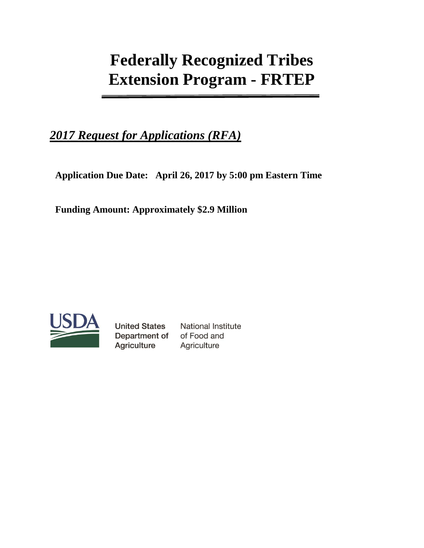# **Federally Recognized Tribes Extension Program - FRTEP**

## *2017 Request for Applications (RFA)*

**Application Due Date: April 26, 2017 by 5:00 pm Eastern Time** 

**Funding Amount: Approximately \$2.9 Million**



**United States** Department of **Agriculture** 

**National Institute** of Food and Agriculture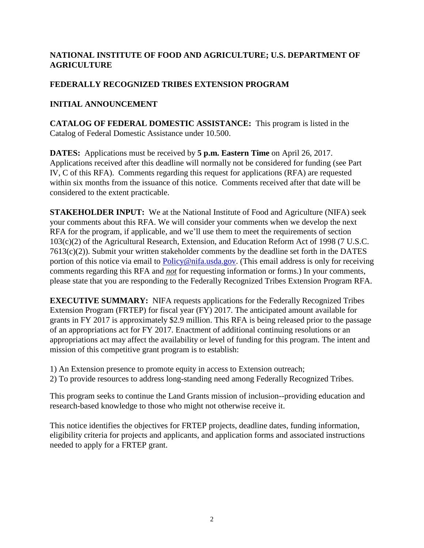## **NATIONAL INSTITUTE OF FOOD AND AGRICULTURE; U.S. DEPARTMENT OF AGRICULTURE**

## **FEDERALLY RECOGNIZED TRIBES EXTENSION PROGRAM**

## **INITIAL ANNOUNCEMENT**

**CATALOG OF FEDERAL DOMESTIC ASSISTANCE:** This program is listed in the Catalog of Federal Domestic Assistance under 10.500.

**DATES:** Applications must be received by **5 p.m. Eastern Time** on April 26, 2017. Applications received after this deadline will normally not be considered for funding (see Part IV, C of this RFA). Comments regarding this request for applications (RFA) are requested within six months from the issuance of this notice. Comments received after that date will be considered to the extent practicable.

**STAKEHOLDER INPUT:** We at the National Institute of Food and Agriculture (NIFA) seek your comments about this RFA. We will consider your comments when we develop the next RFA for the program, if applicable, and we'll use them to meet the requirements of section 103(c)(2) of the Agricultural Research, Extension, and Education Reform Act of 1998 (7 U.S.C. 7613(c)(2)). Submit your written stakeholder comments by the deadline set forth in the DATES portion of this notice via email to [Policy@nifa.usda.gov.](mailto:Policy@nifa.usda.gov) (This email address is only for receiving comments regarding this RFA and *not* for requesting information or forms.) In your comments, please state that you are responding to the Federally Recognized Tribes Extension Program RFA.

**EXECUTIVE SUMMARY:** NIFA requests applications for the Federally Recognized Tribes Extension Program (FRTEP) for fiscal year (FY) 2017. The anticipated amount available for grants in FY 2017 is approximately \$2.9 million. This RFA is being released prior to the passage of an appropriations act for FY 2017. Enactment of additional continuing resolutions or an appropriations act may affect the availability or level of funding for this program. The intent and mission of this competitive grant program is to establish:

1) An Extension presence to promote equity in access to Extension outreach;

2) To provide resources to address long-standing need among Federally Recognized Tribes.

This program seeks to continue the Land Grants mission of inclusion--providing education and research-based knowledge to those who might not otherwise receive it.

This notice identifies the objectives for FRTEP projects, deadline dates, funding information, eligibility criteria for projects and applicants, and application forms and associated instructions needed to apply for a FRTEP grant.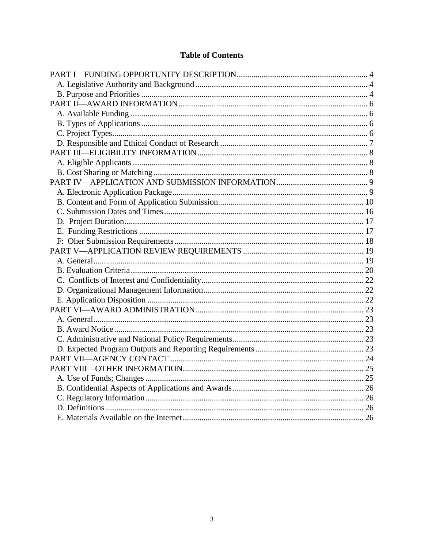## **Table of Contents**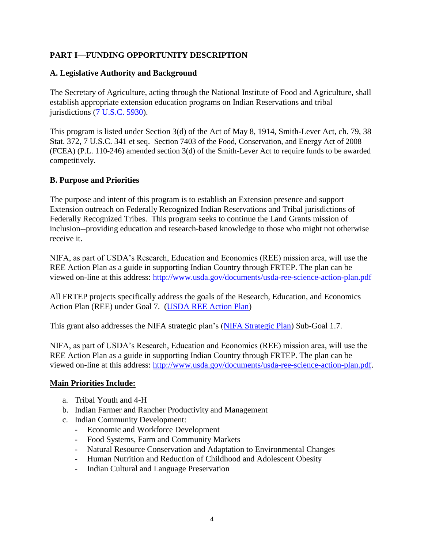## <span id="page-3-0"></span>**PART I—FUNDING OPPORTUNITY DESCRIPTION**

#### <span id="page-3-1"></span>**A. Legislative Authority and Background**

The Secretary of Agriculture, acting through the National Institute of Food and Agriculture, shall establish appropriate extension education programs on Indian Reservations and tribal jurisdictions [\(7 U.S.C. 5930\)](https://www.gpo.gov/fdsys/pkg/USCODE-2010-title7/html/USCODE-2010-title7-chap88-subchapVII-sec5930.htm).

This program is listed under Section 3(d) of the Act of May 8, 1914, Smith-Lever Act, ch. 79, 38 Stat. 372, 7 U.S.C. 341 et seq. Section 7403 of the Food, Conservation, and Energy Act of 2008 (FCEA) (P.L. 110-246) amended section 3(d) of the Smith-Lever Act to require funds to be awarded competitively.

## <span id="page-3-2"></span>**B. Purpose and Priorities**

The purpose and intent of this program is to establish an Extension presence and support Extension outreach on Federally Recognized Indian Reservations and Tribal jurisdictions of Federally Recognized Tribes. This program seeks to continue the Land Grants mission of inclusion--providing education and research-based knowledge to those who might not otherwise receive it.

NIFA, as part of USDA's Research, Education and Economics (REE) mission area, will use the REE Action Plan as a guide in supporting Indian Country through FRTEP. The plan can be viewed on-line at this address:<http://www.usda.gov/documents/usda-ree-science-action-plan.pdf>

All FRTEP projects specifically address the goals of the Research, Education, and Economics Action Plan (REE) under Goal 7. [\(USDA REE Action Plan\)](https://nifa.usda.gov/resource/ree-action-plan)

This grant also addresses the NIFA strategic plan's [\(NIFA Strategic Plan\)](https://nifa.usda.gov/resource/nifa-strategic-plan-fy2014-fy2018) Sub-Goal 1.7.

NIFA, as part of USDA's Research, Education and Economics (REE) mission area, will use the REE Action Plan as a guide in supporting Indian Country through FRTEP. The plan can be viewed on-line at this address: [http://www.usda.gov/documents/usda-ree-science-action-plan.pdf.](http://www.usda.gov/documents/usda-ree-science-action-plan.pdf)

#### **Main Priorities Include:**

- a. Tribal Youth and 4-H
- b. Indian Farmer and Rancher Productivity and Management
- c. Indian Community Development:
	- Economic and Workforce Development
	- Food Systems, Farm and Community Markets
	- Natural Resource Conservation and Adaptation to Environmental Changes
	- Human Nutrition and Reduction of Childhood and Adolescent Obesity
	- Indian Cultural and Language Preservation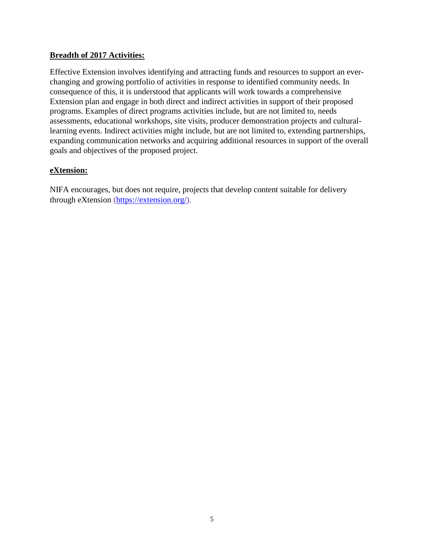## **Breadth of 2017 Activities:**

Effective Extension involves identifying and attracting funds and resources to support an everchanging and growing portfolio of activities in response to identified community needs. In consequence of this, it is understood that applicants will work towards a comprehensive Extension plan and engage in both direct and indirect activities in support of their proposed programs. Examples of direct programs activities include, but are not limited to, needs assessments, educational workshops, site visits, producer demonstration projects and culturallearning events. Indirect activities might include, but are not limited to, extending partnerships, expanding communication networks and acquiring additional resources in support of the overall goals and objectives of the proposed project.

## **eXtension:**

NIFA encourages, but does not require, projects that develop content suitable for delivery through eXtension [\(https://extension.org/\)](https://extension.org/).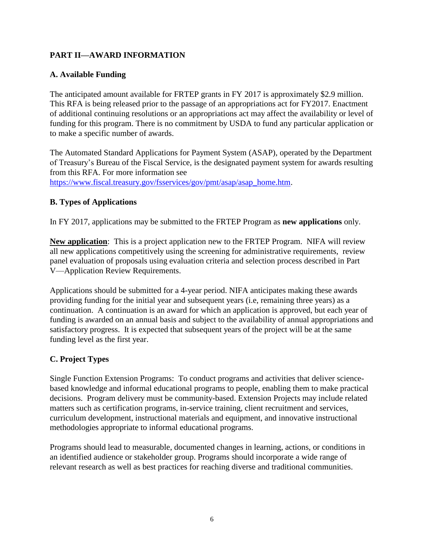## <span id="page-5-0"></span>**PART II—AWARD INFORMATION**

## <span id="page-5-1"></span>**A. Available Funding**

The anticipated amount available for FRTEP grants in FY 2017 is approximately \$2.9 million. This RFA is being released prior to the passage of an appropriations act for FY2017. Enactment of additional continuing resolutions or an appropriations act may affect the availability or level of funding for this program. There is no commitment by USDA to fund any particular application or to make a specific number of awards.

The Automated Standard Applications for Payment System (ASAP), operated by the Department of Treasury's Bureau of the Fiscal Service, is the designated payment system for awards resulting from this RFA. For more information see [https://www.fiscal.treasury.gov/fsservices/gov/pmt/asap/asap\\_home.htm.](https://www.fiscal.treasury.gov/fsservices/gov/pmt/asap/asap_home.htm)

## <span id="page-5-2"></span>**B. Types of Applications**

In FY 2017, applications may be submitted to the FRTEP Program as **new applications** only.

**New application**: This is a project application new to the FRTEP Program. NIFA will review all new applications competitively using the screening for administrative requirements, review panel evaluation of proposals using evaluation criteria and selection process described in Part V—Application Review Requirements.

Applications should be submitted for a 4-year period. NIFA anticipates making these awards providing funding for the initial year and subsequent years (i.e, remaining three years) as a continuation. A continuation is an award for which an application is approved, but each year of funding is awarded on an annual basis and subject to the availability of annual appropriations and satisfactory progress. It is expected that subsequent years of the project will be at the same funding level as the first year.

## <span id="page-5-3"></span>**C. Project Types**

Single Function Extension Programs: To conduct programs and activities that deliver sciencebased knowledge and informal educational programs to people, enabling them to make practical decisions. Program delivery must be community-based. Extension Projects may include related matters such as certification programs, in-service training, client recruitment and services, curriculum development, instructional materials and equipment, and innovative instructional methodologies appropriate to informal educational programs.

Programs should lead to measurable, documented changes in learning, actions, or conditions in an identified audience or stakeholder group. Programs should incorporate a wide range of relevant research as well as best practices for reaching diverse and traditional communities.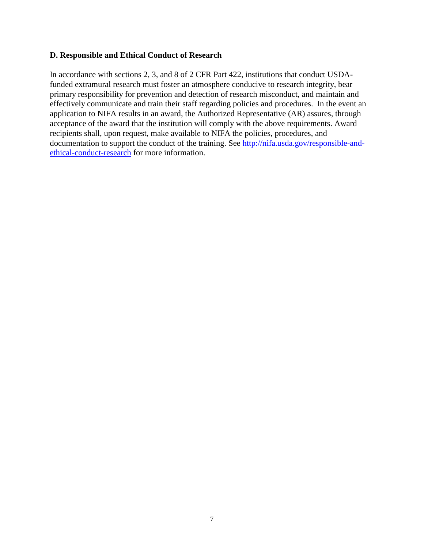#### <span id="page-6-0"></span>**D. Responsible and Ethical Conduct of Research**

In accordance with sections 2, 3, and 8 of 2 CFR Part 422, institutions that conduct USDAfunded extramural research must foster an atmosphere conducive to research integrity, bear primary responsibility for prevention and detection of research misconduct, and maintain and effectively communicate and train their staff regarding policies and procedures. In the event an application to NIFA results in an award, the Authorized Representative (AR) assures, through acceptance of the award that the institution will comply with the above requirements. Award recipients shall, upon request, make available to NIFA the policies, procedures, and documentation to support the conduct of the training. See [http://nifa.usda.gov/responsible-and](http://nifa.usda.gov/responsible-and-ethical-conduct-research)[ethical-conduct-research](http://nifa.usda.gov/responsible-and-ethical-conduct-research) for more information.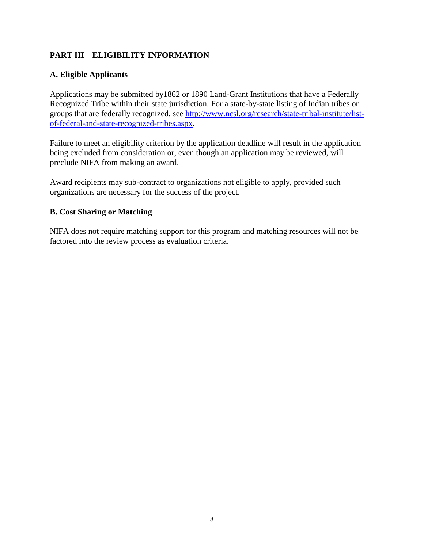## <span id="page-7-0"></span>**PART III—ELIGIBILITY INFORMATION**

## <span id="page-7-1"></span>**A. Eligible Applicants**

Applications may be submitted by1862 or 1890 Land-Grant Institutions that have a Federally Recognized Tribe within their state jurisdiction. For a state-by-state listing of Indian tribes or groups that are federally recognized, see [http://www.ncsl.org/research/state-tribal-institute/list](http://www.ncsl.org/research/state-tribal-institute/list-of-federal-and-state-recognized-tribes.aspx)[of-federal-and-state-recognized-tribes.aspx.](http://www.ncsl.org/research/state-tribal-institute/list-of-federal-and-state-recognized-tribes.aspx)

Failure to meet an eligibility criterion by the application deadline will result in the application being excluded from consideration or, even though an application may be reviewed, will preclude NIFA from making an award.

Award recipients may sub-contract to organizations not eligible to apply, provided such organizations are necessary for the success of the project.

## <span id="page-7-2"></span>**B. Cost Sharing or Matching**

NIFA does not require matching support for this program and matching resources will not be factored into the review process as evaluation criteria.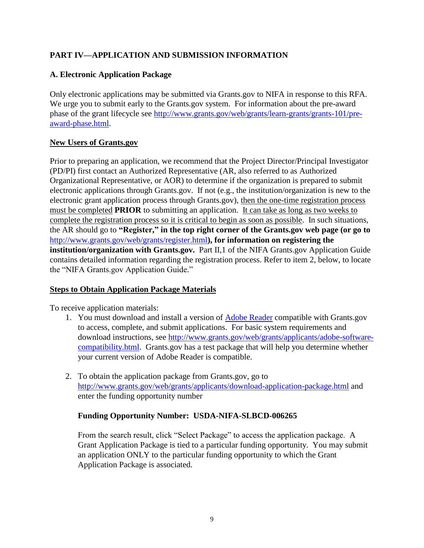## <span id="page-8-0"></span>**PART IV—APPLICATION AND SUBMISSION INFORMATION**

## <span id="page-8-1"></span>**A. Electronic Application Package**

Only electronic applications may be submitted via Grants.gov to NIFA in response to this RFA. We urge you to submit early to the Grants.gov system. For information about the pre-award phase of the grant lifecycle see [http://www.grants.gov/web/grants/learn-grants/grants-101/pre](http://www.grants.gov/web/grants/learn-grants/grants-101/pre-award-phase.html)[award-phase.html.](http://www.grants.gov/web/grants/learn-grants/grants-101/pre-award-phase.html)

## **New Users of Grants.gov**

Prior to preparing an application, we recommend that the Project Director/Principal Investigator (PD/PI) first contact an Authorized Representative (AR, also referred to as Authorized Organizational Representative, or AOR) to determine if the organization is prepared to submit electronic applications through Grants.gov. If not (e.g., the institution/organization is new to the electronic grant application process through Grants.gov), then the one-time registration process must be completed **PRIOR** to submitting an application. It can take as long as two weeks to complete the registration process so it is critical to begin as soon as possible. In such situations, the AR should go to **"Register," in the top right corner of the Grants.gov web page (or go to**  <http://www.grants.gov/web/grants/register.html>**), for information on registering the institution/organization with Grants.gov.** Part II,1 of the NIFA Grants.gov Application Guide contains detailed information regarding the registration process. Refer to item 2, below, to locate the "NIFA Grants.gov Application Guide."

## **Steps to Obtain Application Package Materials**

To receive application materials:

- 1. You must download and install a version of [Adobe Reader](https://get.adobe.com/reader/) compatible with Grants.gov to access, complete, and submit applications. For basic system requirements and download instructions, see [http://www.grants.gov/web/grants/applicants/adobe-software](http://www.grants.gov/web/grants/applicants/adobe-software-compatibility.html)[compatibility.html.](http://www.grants.gov/web/grants/applicants/adobe-software-compatibility.html) Grants.gov has a test package that will help you determine whether your current version of Adobe Reader is compatible.
- 2. To obtain the application package from Grants.gov, go to <http://www.grants.gov/web/grants/applicants/download-application-package.html> and enter the funding opportunity number

## **Funding Opportunity Number: USDA-NIFA-SLBCD-006265**

From the search result, click "Select Package" to access the application package. A Grant Application Package is tied to a particular funding opportunity. You may submit an application ONLY to the particular funding opportunity to which the Grant Application Package is associated.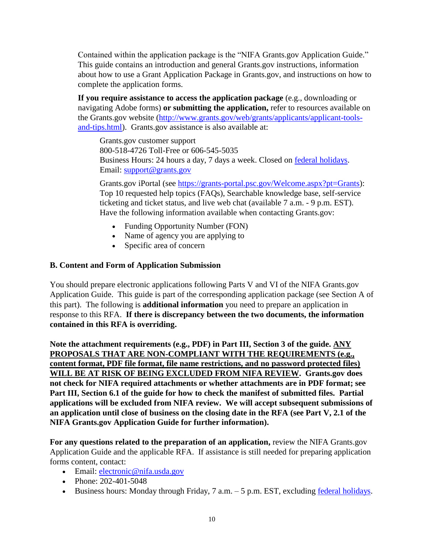Contained within the application package is the "NIFA Grants.gov Application Guide." This guide contains an introduction and general Grants.gov instructions, information about how to use a Grant Application Package in Grants.gov, and instructions on how to complete the application forms.

**If you require assistance to access the application package** (e.g., downloading or navigating Adobe forms) **or submitting the application,** refer to resources available on the Grants.gov website [\(http://www.grants.gov/web/grants/applicants/applicant-tools](http://www.grants.gov/web/grants/applicants/applicant-tools-and-tips.html)[and-tips.html\)](http://www.grants.gov/web/grants/applicants/applicant-tools-and-tips.html). Grants.gov assistance is also available at:

Grants.gov customer support 800-518-4726 Toll-Free or 606-545-5035 Business Hours: 24 hours a day, 7 days a week. Closed on [federal holidays.](http://www.opm.gov/policy-data-oversight/snow-dismissal-procedures/federal-holidays/) Email: [support@grants.gov](mailto:support@grants.gov)

Grants.gov iPortal (see [https://grants-portal.psc.gov/Welcome.aspx?pt=Grants\)](https://grants-portal.psc.gov/Welcome.aspx?pt=Grants): Top 10 requested help topics (FAQs), Searchable knowledge base, self-service ticketing and ticket status, and live web chat (available 7 a.m. - 9 p.m. EST). Have the following information available when contacting Grants.gov:

- Funding Opportunity Number (FON)
- Name of agency you are applying to
- Specific area of concern

## <span id="page-9-0"></span>**B. Content and Form of Application Submission**

You should prepare electronic applications following Parts V and VI of the NIFA Grants.gov Application Guide. This guide is part of the corresponding application package (see Section A of this part). The following is **additional information** you need to prepare an application in response to this RFA. **If there is discrepancy between the two documents, the information contained in this RFA is overriding.**

**Note the attachment requirements (e.g., PDF) in Part III, Section 3 of the guide. ANY PROPOSALS THAT ARE NON-COMPLIANT WITH THE REQUIREMENTS (e.g., content format, PDF file format, file name restrictions, and no password protected files) WILL BE AT RISK OF BEING EXCLUDED FROM NIFA REVIEW. Grants.gov does not check for NIFA required attachments or whether attachments are in PDF format; see Part III, Section 6.1 of the guide for how to check the manifest of submitted files. Partial applications will be excluded from NIFA review. We will accept subsequent submissions of an application until close of business on the closing date in the RFA (see Part V, 2.1 of the NIFA Grants.gov Application Guide for further information).**

**For any questions related to the preparation of an application,** review the NIFA Grants.gov Application Guide and the applicable RFA. If assistance is still needed for preparing application forms content, contact:

- Email: electronic@nifa.usda.gov
- Phone: 202-401-5048
- Business hours: Monday through Friday,  $7$  a.m.  $-5$  p.m. EST, excluding [federal holidays.](https://www.opm.gov/policy-data-oversight/snow-dismissal-procedures/federal-holidays/)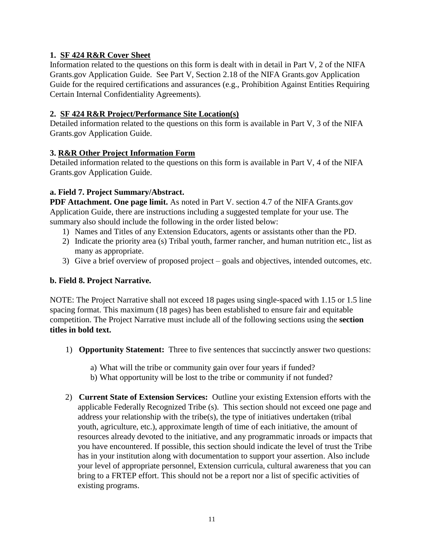## **1. SF 424 R&R Cover Sheet**

Information related to the questions on this form is dealt with in detail in Part V, 2 of the NIFA Grants.gov Application Guide. See Part V, Section 2.18 of the NIFA Grants.gov Application Guide for the required certifications and assurances (e.g., Prohibition Against Entities Requiring Certain Internal Confidentiality Agreements).

## **2. SF 424 R&R Project/Performance Site Location(s)**

Detailed information related to the questions on this form is available in Part V, 3 of the NIFA Grants.gov Application Guide.

## **3. R&R Other Project Information Form**

Detailed information related to the questions on this form is available in Part V, 4 of the NIFA Grants.gov Application Guide.

## **a. Field 7. Project Summary/Abstract.**

**PDF Attachment. One page limit.** As noted in Part V. section 4.7 of the NIFA Grants.gov Application Guide, there are instructions including a suggested template for your use. The summary also should include the following in the order listed below:

- 1) Names and Titles of any Extension Educators, agents or assistants other than the PD.
- 2) Indicate the priority area (s) Tribal youth, farmer rancher, and human nutrition etc., list as many as appropriate.
- 3) Give a brief overview of proposed project goals and objectives, intended outcomes, etc.

## **b. Field 8. Project Narrative.**

NOTE: The Project Narrative shall not exceed 18 pages using single-spaced with 1.15 or 1.5 line spacing format. This maximum (18 pages) has been established to ensure fair and equitable competition. The Project Narrative must include all of the following sections using the **section titles in bold text.**

- 1) **Opportunity Statement:** Three to five sentences that succinctly answer two questions:
	- a) What will the tribe or community gain over four years if funded?
	- b) What opportunity will be lost to the tribe or community if not funded?
- 2) **Current State of Extension Services:** Outline your existing Extension efforts with the applicable Federally Recognized Tribe (s). This section should not exceed one page and address your relationship with the tribe(s), the type of initiatives undertaken (tribal youth, agriculture, etc.), approximate length of time of each initiative, the amount of resources already devoted to the initiative, and any programmatic inroads or impacts that you have encountered. If possible, this section should indicate the level of trust the Tribe has in your institution along with documentation to support your assertion. Also include your level of appropriate personnel, Extension curricula, cultural awareness that you can bring to a FRTEP effort. This should not be a report nor a list of specific activities of existing programs.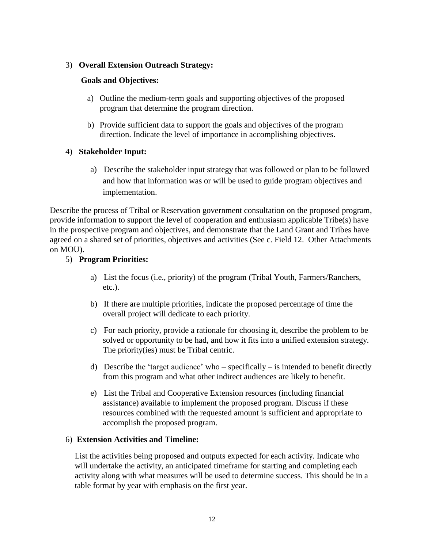### 3) **Overall Extension Outreach Strategy:**

## **Goals and Objectives:**

- a) Outline the medium-term goals and supporting objectives of the proposed program that determine the program direction.
- b) Provide sufficient data to support the goals and objectives of the program direction. Indicate the level of importance in accomplishing objectives.

## 4) **Stakeholder Input:**

a) Describe the stakeholder input strategy that was followed or plan to be followed and how that information was or will be used to guide program objectives and implementation.

Describe the process of Tribal or Reservation government consultation on the proposed program, provide information to support the level of cooperation and enthusiasm applicable Tribe(s) have in the prospective program and objectives, and demonstrate that the Land Grant and Tribes have agreed on a shared set of priorities, objectives and activities (See c. Field 12. Other Attachments on MOU).

#### 5) **Program Priorities:**

- a) List the focus (i.e., priority) of the program (Tribal Youth, Farmers/Ranchers, etc.).
- b) If there are multiple priorities, indicate the proposed percentage of time the overall project will dedicate to each priority.
- c) For each priority, provide a rationale for choosing it, describe the problem to be solved or opportunity to be had, and how it fits into a unified extension strategy. The priority(ies) must be Tribal centric.
- d) Describe the 'target audience' who specifically is intended to benefit directly from this program and what other indirect audiences are likely to benefit.
- e) List the Tribal and Cooperative Extension resources (including financial assistance) available to implement the proposed program. Discuss if these resources combined with the requested amount is sufficient and appropriate to accomplish the proposed program.

## 6) **Extension Activities and Timeline:**

List the activities being proposed and outputs expected for each activity. Indicate who will undertake the activity, an anticipated timeframe for starting and completing each activity along with what measures will be used to determine success. This should be in a table format by year with emphasis on the first year.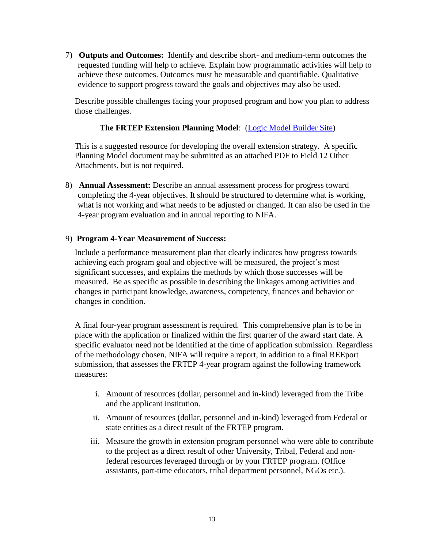7) **Outputs and Outcomes:** Identify and describe short- and medium-term outcomes the requested funding will help to achieve. Explain how programmatic activities will help to achieve these outcomes. Outcomes must be measurable and quantifiable. Qualitative evidence to support progress toward the goals and objectives may also be used.

Describe possible challenges facing your proposed program and how you plan to address those challenges.

## **The FRTEP Extension Planning Model**: [\(Logic Model Builder Site\)](https://cyfar.org/resource/cyfar-101-logic-model-and-common-measures)

This is a suggested resource for developing the overall extension strategy. A specific Planning Model document may be submitted as an attached PDF to Field 12 Other Attachments, but is not required.

8) **Annual Assessment:** Describe an annual assessment process for progress toward completing the 4-year objectives. It should be structured to determine what is working, what is not working and what needs to be adjusted or changed. It can also be used in the 4-year program evaluation and in annual reporting to NIFA.

## 9) **Program 4-Year Measurement of Success:**

Include a performance measurement plan that clearly indicates how progress towards achieving each program goal and objective will be measured, the project's most significant successes, and explains the methods by which those successes will be measured. Be as specific as possible in describing the linkages among activities and changes in participant knowledge, awareness, competency, finances and behavior or changes in condition.

A final four-year program assessment is required. This comprehensive plan is to be in place with the application or finalized within the first quarter of the award start date. A specific evaluator need not be identified at the time of application submission. Regardless of the methodology chosen, NIFA will require a report, in addition to a final REEport submission, that assesses the FRTEP 4-year program against the following framework measures:

- i. Amount of resources (dollar, personnel and in-kind) leveraged from the Tribe and the applicant institution.
- ii. Amount of resources (dollar, personnel and in-kind) leveraged from Federal or state entities as a direct result of the FRTEP program.
- iii. Measure the growth in extension program personnel who were able to contribute to the project as a direct result of other University, Tribal, Federal and nonfederal resources leveraged through or by your FRTEP program. (Office assistants, part-time educators, tribal department personnel, NGOs etc.).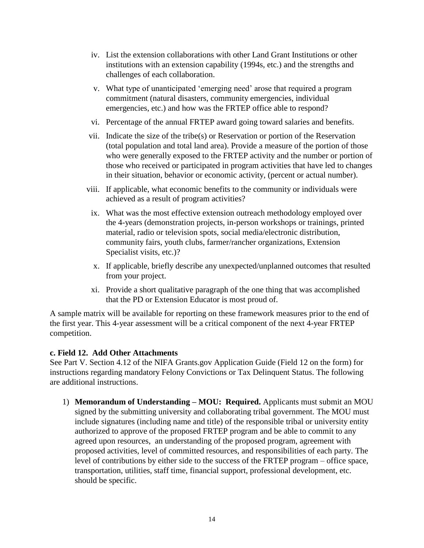- iv. List the extension collaborations with other Land Grant Institutions or other institutions with an extension capability (1994s, etc.) and the strengths and challenges of each collaboration.
- v. What type of unanticipated 'emerging need' arose that required a program commitment (natural disasters, community emergencies, individual emergencies, etc.) and how was the FRTEP office able to respond?
- vi. Percentage of the annual FRTEP award going toward salaries and benefits.
- vii. Indicate the size of the tribe(s) or Reservation or portion of the Reservation (total population and total land area). Provide a measure of the portion of those who were generally exposed to the FRTEP activity and the number or portion of those who received or participated in program activities that have led to changes in their situation, behavior or economic activity, (percent or actual number).
- viii. If applicable, what economic benefits to the community or individuals were achieved as a result of program activities?
- ix. What was the most effective extension outreach methodology employed over the 4-years (demonstration projects, in-person workshops or trainings, printed material, radio or television spots, social media/electronic distribution, community fairs, youth clubs, farmer/rancher organizations, Extension Specialist visits, etc.)?
- x. If applicable, briefly describe any unexpected/unplanned outcomes that resulted from your project.
- xi. Provide a short qualitative paragraph of the one thing that was accomplished that the PD or Extension Educator is most proud of.

A sample matrix will be available for reporting on these framework measures prior to the end of the first year. This 4-year assessment will be a critical component of the next 4-year FRTEP competition.

## **c. Field 12. Add Other Attachments**

See Part V. Section 4.12 of the NIFA Grants.gov Application Guide (Field 12 on the form) for instructions regarding mandatory Felony Convictions or Tax Delinquent Status. The following are additional instructions.

1) **Memorandum of Understanding – MOU: Required.** Applicants must submit an MOU signed by the submitting university and collaborating tribal government. The MOU must include signatures (including name and title) of the responsible tribal or university entity authorized to approve of the proposed FRTEP program and be able to commit to any agreed upon resources, an understanding of the proposed program, agreement with proposed activities, level of committed resources, and responsibilities of each party. The level of contributions by either side to the success of the FRTEP program – office space, transportation, utilities, staff time, financial support, professional development, etc. should be specific.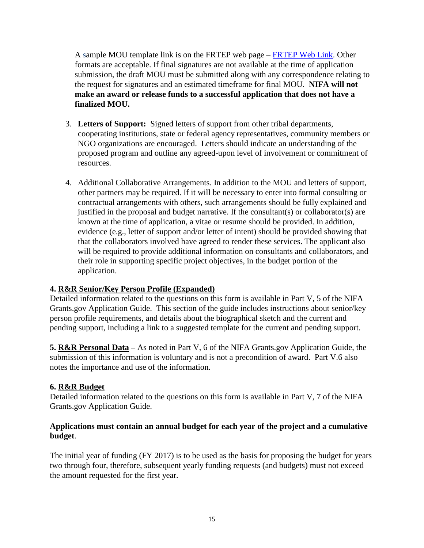A sample MOU template link is on the FRTEP web page – [FRTEP Web Link.](https://nifa.usda.gov/program/federally-recognized-tribes-extension-grant-program) Other formats are acceptable. If final signatures are not available at the time of application submission, the draft MOU must be submitted along with any correspondence relating to the request for signatures and an estimated timeframe for final MOU. **NIFA will not make an award or release funds to a successful application that does not have a finalized MOU.** 

- 3. **Letters of Support:** Signed letters of support from other tribal departments, cooperating institutions, state or federal agency representatives, community members or NGO organizations are encouraged. Letters should indicate an understanding of the proposed program and outline any agreed-upon level of involvement or commitment of resources.
- 4. Additional Collaborative Arrangements. In addition to the MOU and letters of support, other partners may be required. If it will be necessary to enter into formal consulting or contractual arrangements with others, such arrangements should be fully explained and justified in the proposal and budget narrative. If the consultant(s) or collaborator(s) are known at the time of application, a vitae or resume should be provided. In addition, evidence (e.g., letter of support and/or letter of intent) should be provided showing that that the collaborators involved have agreed to render these services. The applicant also will be required to provide additional information on consultants and collaborators, and their role in supporting specific project objectives, in the budget portion of the application.

## **4. R&R Senior/Key Person Profile (Expanded)**

Detailed information related to the questions on this form is available in Part V, 5 of the NIFA Grants.gov Application Guide. This section of the guide includes instructions about senior/key person profile requirements, and details about the biographical sketch and the current and pending support, including a link to a suggested template for the current and pending support.

**5. R&R Personal Data –** As noted in Part V, 6 of the NIFA Grants.gov Application Guide, the submission of this information is voluntary and is not a precondition of award. Part V.6 also notes the importance and use of the information.

## **6. R&R Budget**

Detailed information related to the questions on this form is available in Part V, 7 of the NIFA Grants.gov Application Guide.

## **Applications must contain an annual budget for each year of the project and a cumulative budget**.

The initial year of funding (FY 2017) is to be used as the basis for proposing the budget for years two through four, therefore, subsequent yearly funding requests (and budgets) must not exceed the amount requested for the first year.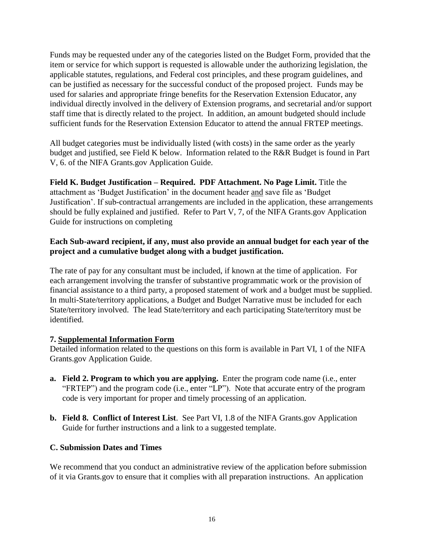Funds may be requested under any of the categories listed on the Budget Form, provided that the item or service for which support is requested is allowable under the authorizing legislation, the applicable statutes, regulations, and Federal cost principles, and these program guidelines, and can be justified as necessary for the successful conduct of the proposed project. Funds may be used for salaries and appropriate fringe benefits for the Reservation Extension Educator, any individual directly involved in the delivery of Extension programs, and secretarial and/or support staff time that is directly related to the project. In addition, an amount budgeted should include sufficient funds for the Reservation Extension Educator to attend the annual FRTEP meetings.

All budget categories must be individually listed (with costs) in the same order as the yearly budget and justified, see Field K below. Information related to the R&R Budget is found in Part V, 6. of the NIFA Grants.gov Application Guide.

**Field K. Budget Justification – Required. PDF Attachment. No Page Limit.** Title the attachment as 'Budget Justification' in the document header and save file as 'Budget Justification'. If sub-contractual arrangements are included in the application, these arrangements should be fully explained and justified. Refer to Part V, 7, of the NIFA Grants.gov Application Guide for instructions on completing

## **Each Sub-award recipient, if any, must also provide an annual budget for each year of the project and a cumulative budget along with a budget justification.**

The rate of pay for any consultant must be included, if known at the time of application.For each arrangement involving the transfer of substantive programmatic work or the provision of financial assistance to a third party, a proposed statement of work and a budget must be supplied. In multi-State/territory applications, a Budget and Budget Narrative must be included for each State/territory involved. The lead State/territory and each participating State/territory must be identified.

## **7. Supplemental Information Form**

Detailed information related to the questions on this form is available in Part VI, 1 of the NIFA Grants.gov Application Guide.

- **a. Field 2. Program to which you are applying.** Enter the program code name (i.e., enter "FRTEP") and the program code (i.e., enter "LP"). Note that accurate entry of the program code is very important for proper and timely processing of an application.
- **b. Field 8. Conflict of Interest List**. See Part VI, 1.8 of the NIFA Grants.gov Application Guide for further instructions and a link to a suggested template.

## <span id="page-15-0"></span>**C. Submission Dates and Times**

We recommend that you conduct an administrative review of the application before submission of it via Grants.gov to ensure that it complies with all preparation instructions. An application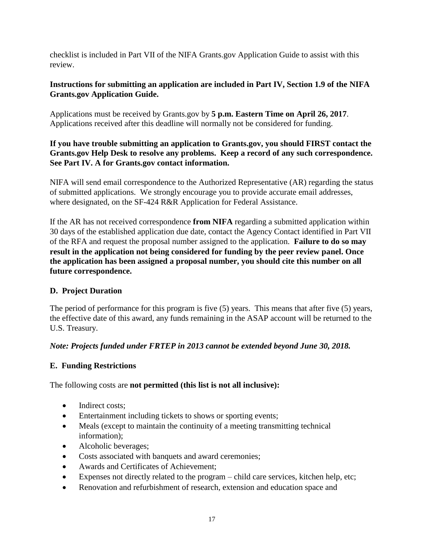checklist is included in Part VII of the NIFA Grants.gov Application Guide to assist with this review.

## **Instructions for submitting an application are included in Part IV, Section 1.9 of the NIFA Grants.gov Application Guide.**

Applications must be received by Grants.gov by **5 p.m. Eastern Time on April 26, 2017**. Applications received after this deadline will normally not be considered for funding.

## **If you have trouble submitting an application to Grants.gov, you should FIRST contact the Grants.gov Help Desk to resolve any problems. Keep a record of any such correspondence. See Part IV. A for Grants.gov contact information.**

NIFA will send email correspondence to the Authorized Representative (AR) regarding the status of submitted applications. We strongly encourage you to provide accurate email addresses, where designated, on the SF-424 R&R Application for Federal Assistance.

If the AR has not received correspondence **from NIFA** regarding a submitted application within 30 days of the established application due date, contact the Agency Contact identified in Part VII of the RFA and request the proposal number assigned to the application. **Failure to do so may result in the application not being considered for funding by the peer review panel. Once the application has been assigned a proposal number, you should cite this number on all future correspondence.**

## <span id="page-16-0"></span>**D. Project Duration**

The period of performance for this program is five (5) years. This means that after five (5) years, the effective date of this award, any funds remaining in the ASAP account will be returned to the U.S. Treasury.

## *Note: Projects funded under FRTEP in 2013 cannot be extended beyond June 30, 2018.*

## <span id="page-16-1"></span>**E. Funding Restrictions**

The following costs are **not permitted (this list is not all inclusive):**

- Indirect costs:
- Entertainment including tickets to shows or sporting events;
- Meals (except to maintain the continuity of a meeting transmitting technical information);
- Alcoholic beverages;
- Costs associated with banquets and award ceremonies;
- Awards and Certificates of Achievement;
- Expenses not directly related to the program child care services, kitchen help, etc;
- Renovation and refurbishment of research, extension and education space and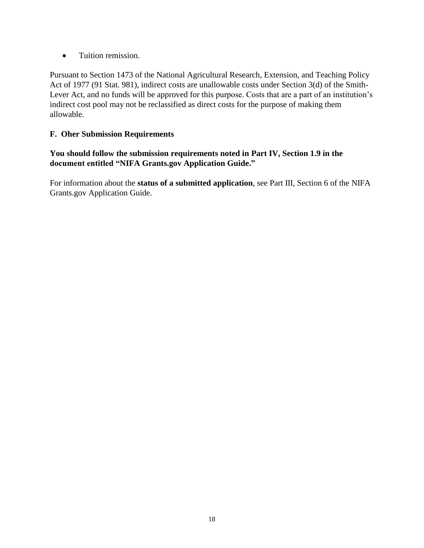• Tuition remission.

Pursuant to Section 1473 of the National Agricultural Research, Extension, and Teaching Policy Act of 1977 (91 Stat. 981), indirect costs are unallowable costs under Section 3(d) of the Smith-Lever Act, and no funds will be approved for this purpose. Costs that are a part of an institution's indirect cost pool may not be reclassified as direct costs for the purpose of making them allowable.

## <span id="page-17-0"></span>**F. Oher Submission Requirements**

## **You should follow the submission requirements noted in Part IV, Section 1.9 in the document entitled "NIFA Grants.gov Application Guide."**

For information about the **status of a submitted application**, see Part III, Section 6 of the NIFA Grants.gov Application Guide.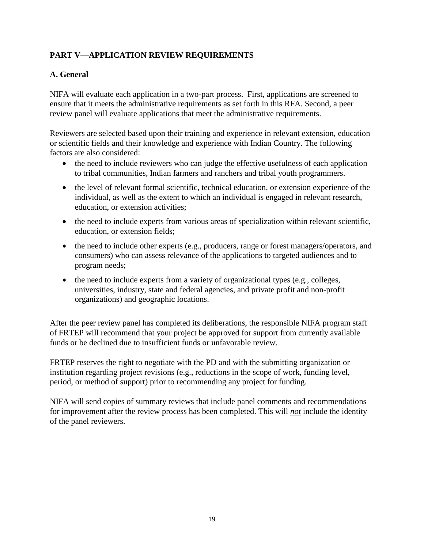## <span id="page-18-0"></span>**PART V—APPLICATION REVIEW REQUIREMENTS**

## <span id="page-18-1"></span>**A. General**

NIFA will evaluate each application in a two-part process. First, applications are screened to ensure that it meets the administrative requirements as set forth in this RFA. Second, a peer review panel will evaluate applications that meet the administrative requirements.

Reviewers are selected based upon their training and experience in relevant extension, education or scientific fields and their knowledge and experience with Indian Country. The following factors are also considered:

- the need to include reviewers who can judge the effective usefulness of each application to tribal communities, Indian farmers and ranchers and tribal youth programmers.
- the level of relevant formal scientific, technical education, or extension experience of the individual, as well as the extent to which an individual is engaged in relevant research, education, or extension activities;
- the need to include experts from various areas of specialization within relevant scientific, education, or extension fields;
- the need to include other experts (e.g., producers, range or forest managers/operators, and consumers) who can assess relevance of the applications to targeted audiences and to program needs;
- the need to include experts from a variety of organizational types (e.g., colleges, universities, industry, state and federal agencies, and private profit and non-profit organizations) and geographic locations.

After the peer review panel has completed its deliberations, the responsible NIFA program staff of FRTEP will recommend that your project be approved for support from currently available funds or be declined due to insufficient funds or unfavorable review.

FRTEP reserves the right to negotiate with the PD and with the submitting organization or institution regarding project revisions (e.g., reductions in the scope of work, funding level, period, or method of support) prior to recommending any project for funding.

NIFA will send copies of summary reviews that include panel comments and recommendations for improvement after the review process has been completed. This will *not* include the identity of the panel reviewers.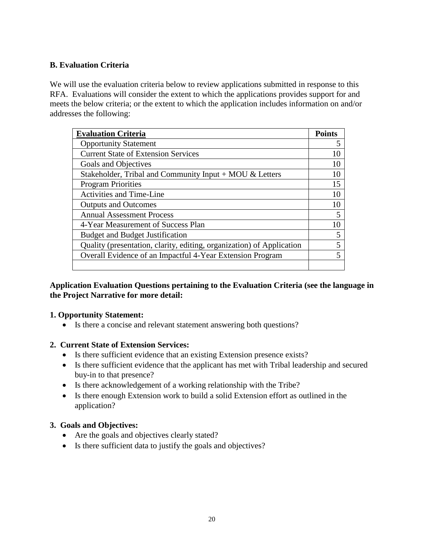## <span id="page-19-0"></span>**B. Evaluation Criteria**

We will use the evaluation criteria below to review applications submitted in response to this RFA. Evaluations will consider the extent to which the applications provides support for and meets the below criteria; or the extent to which the application includes information on and/or addresses the following:

| <b>Evaluation Criteria</b>                                            | <b>Points</b> |
|-----------------------------------------------------------------------|---------------|
| <b>Opportunity Statement</b>                                          | 5             |
| <b>Current State of Extension Services</b>                            | 10            |
| Goals and Objectives                                                  | 10            |
| Stakeholder, Tribal and Community Input $+$ MOU & Letters             | 10            |
| <b>Program Priorities</b>                                             | 15            |
| <b>Activities and Time-Line</b>                                       | 10            |
| <b>Outputs and Outcomes</b>                                           | 10            |
| <b>Annual Assessment Process</b>                                      | 5             |
| 4-Year Measurement of Success Plan                                    | 10            |
| <b>Budget and Budget Justification</b>                                | 5             |
| Quality (presentation, clarity, editing, organization) of Application | 5             |
| Overall Evidence of an Impactful 4-Year Extension Program             | 5             |
|                                                                       |               |

## **Application Evaluation Questions pertaining to the Evaluation Criteria (see the language in the Project Narrative for more detail:**

#### **1. Opportunity Statement:**

Is there a concise and relevant statement answering both questions?

## **2. Current State of Extension Services:**

- Is there sufficient evidence that an existing Extension presence exists?
- Is there sufficient evidence that the applicant has met with Tribal leadership and secured buy-in to that presence?
- Is there acknowledgement of a working relationship with the Tribe?
- Is there enough Extension work to build a solid Extension effort as outlined in the application?

#### **3. Goals and Objectives:**

- Are the goals and objectives clearly stated?
- Is there sufficient data to justify the goals and objectives?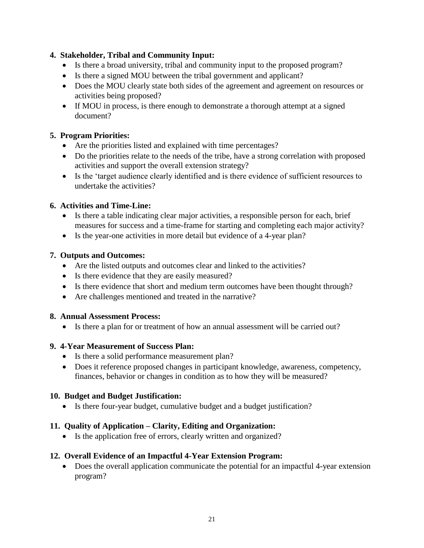## **4. Stakeholder, Tribal and Community Input:**

- Is there a broad university, tribal and community input to the proposed program?
- Is there a signed MOU between the tribal government and applicant?
- Does the MOU clearly state both sides of the agreement and agreement on resources or activities being proposed?
- If MOU in process, is there enough to demonstrate a thorough attempt at a signed document?

## **5. Program Priorities:**

- Are the priorities listed and explained with time percentages?
- Do the priorities relate to the needs of the tribe, have a strong correlation with proposed activities and support the overall extension strategy?
- Is the 'target audience clearly identified and is there evidence of sufficient resources to undertake the activities?

## **6. Activities and Time-Line:**

- Is there a table indicating clear major activities, a responsible person for each, brief measures for success and a time-frame for starting and completing each major activity?
- Is the year-one activities in more detail but evidence of a 4-year plan?

## **7. Outputs and Outcomes:**

- Are the listed outputs and outcomes clear and linked to the activities?
- Is there evidence that they are easily measured?
- Is there evidence that short and medium term outcomes have been thought through?
- Are challenges mentioned and treated in the narrative?

## **8. Annual Assessment Process:**

• Is there a plan for or treatment of how an annual assessment will be carried out?

## **9. 4-Year Measurement of Success Plan:**

- Is there a solid performance measurement plan?
- Does it reference proposed changes in participant knowledge, awareness, competency, finances, behavior or changes in condition as to how they will be measured?

## **10. Budget and Budget Justification:**

Is there four-year budget, cumulative budget and a budget justification?

## **11. Quality of Application – Clarity, Editing and Organization:**

• Is the application free of errors, clearly written and organized?

## **12. Overall Evidence of an Impactful 4-Year Extension Program:**

<span id="page-20-0"></span> Does the overall application communicate the potential for an impactful 4-year extension program?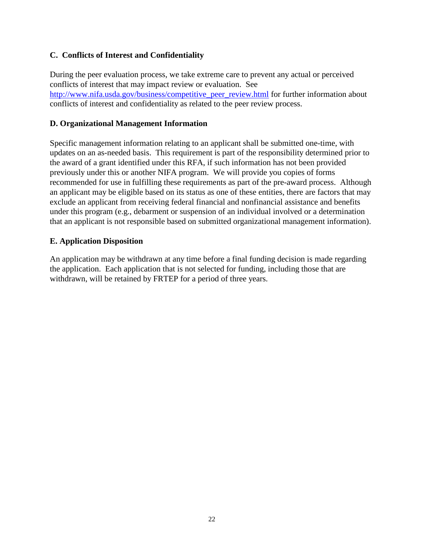## **C. Conflicts of Interest and Confidentiality**

During the peer evaluation process, we take extreme care to prevent any actual or perceived conflicts of interest that may impact review or evaluation. See [http://www.nifa.usda.gov/business/competitive\\_peer\\_review.html](http://www.nifa.usda.gov/business/competitive_peer_review.html) for further information about conflicts of interest and confidentiality as related to the peer review process.

## <span id="page-21-0"></span>**D. Organizational Management Information**

Specific management information relating to an applicant shall be submitted one-time, with updates on an as-needed basis. This requirement is part of the responsibility determined prior to the award of a grant identified under this RFA, if such information has not been provided previously under this or another NIFA program. We will provide you copies of forms recommended for use in fulfilling these requirements as part of the pre-award process. Although an applicant may be eligible based on its status as one of these entities, there are factors that may exclude an applicant from receiving federal financial and nonfinancial assistance and benefits under this program (e.g., debarment or suspension of an individual involved or a determination that an applicant is not responsible based on submitted organizational management information).

## <span id="page-21-1"></span>**E. Application Disposition**

An application may be withdrawn at any time before a final funding decision is made regarding the application. Each application that is not selected for funding, including those that are withdrawn, will be retained by FRTEP for a period of three years.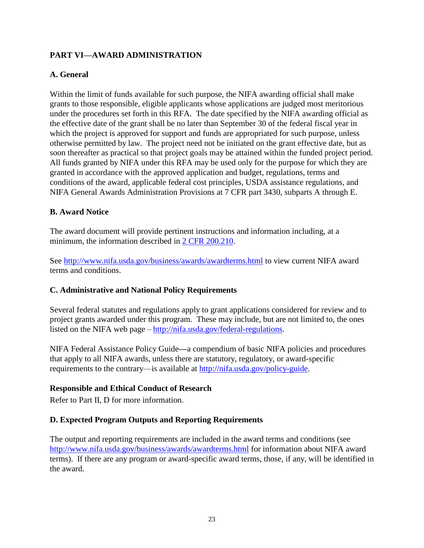## <span id="page-22-0"></span>**PART VI—AWARD ADMINISTRATION**

## <span id="page-22-1"></span>**A. General**

Within the limit of funds available for such purpose, the NIFA awarding official shall make grants to those responsible, eligible applicants whose applications are judged most meritorious under the procedures set forth in this RFA. The date specified by the NIFA awarding official as the effective date of the grant shall be no later than September 30 of the federal fiscal year in which the project is approved for support and funds are appropriated for such purpose, unless otherwise permitted by law. The project need not be initiated on the grant effective date, but as soon thereafter as practical so that project goals may be attained within the funded project period. All funds granted by NIFA under this RFA may be used only for the purpose for which they are granted in accordance with the approved application and budget, regulations, terms and conditions of the award, applicable federal cost principles, USDA assistance regulations, and NIFA General Awards Administration Provisions at 7 CFR part 3430, subparts A through E.

#### <span id="page-22-2"></span>**B. Award Notice**

The award document will provide pertinent instructions and information including, at a minimum, the information described in [2 CFR 200.210.](http://www.ecfr.gov/cgi-bin/text-idx?SID=70b44cfc44976f4a7742464f7cfbb37e&mc=true&node=se2.1.200_1210&rgn=div8)

See<http://www.nifa.usda.gov/business/awards/awardterms.html> to view current NIFA award terms and conditions.

## <span id="page-22-3"></span>**C. Administrative and National Policy Requirements**

Several federal statutes and regulations apply to grant applications considered for review and to project grants awarded under this program. These may include, but are not limited to, the ones listed on the NIFA web page – [http://nifa.usda.gov/federal-regulations.](http://nifa.usda.gov/federal-regulations)

NIFA Federal Assistance Policy Guide**—**a compendium of basic NIFA policies and procedures that apply to all NIFA awards, unless there are statutory, regulatory, or award-specific requirements to the contrary—is available at [http://nifa.usda.gov/policy-guide.](http://nifa.usda.gov/policy-guide)

#### **Responsible and Ethical Conduct of Research**

Refer to Part II, D for more information.

## <span id="page-22-4"></span>**D. Expected Program Outputs and Reporting Requirements**

The output and reporting requirements are included in the award terms and conditions (see <http://www.nifa.usda.gov/business/awards/awardterms.html> for information about NIFA award terms). If there are any program or award-specific award terms, those, if any, will be identified in the award.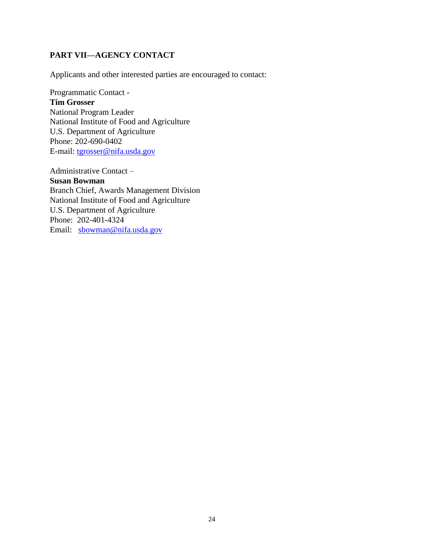## <span id="page-23-0"></span>**PART VII—AGENCY CONTACT**

Applicants and other interested parties are encouraged to contact:

Programmatic Contact -

#### **Tim Grosser**

National Program Leader National Institute of Food and Agriculture U.S. Department of Agriculture Phone: 202-690-0402 E-mail: [tgrosser@nifa.usda.gov](mailto:tgrosser@nifa.usda.gov)

Administrative Contact –

**Susan Bowman** Branch Chief, Awards Management Division National Institute of Food and Agriculture U.S. Department of Agriculture Phone: 202-401-4324 Email: [sbowman@nifa.usda.gov](mailto:sbowman@nifa.usda.gov)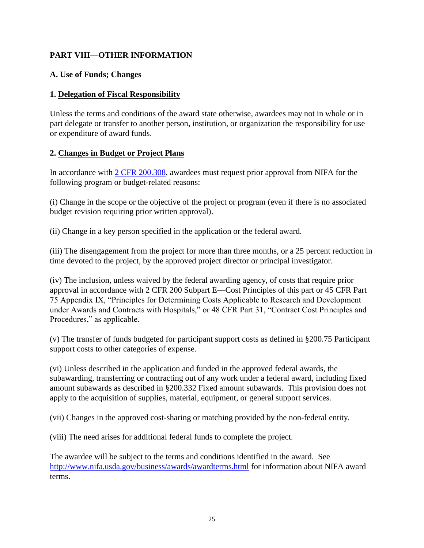## <span id="page-24-0"></span>**PART VIII—OTHER INFORMATION**

## <span id="page-24-1"></span>**A. Use of Funds; Changes**

## **1. Delegation of Fiscal Responsibility**

Unless the terms and conditions of the award state otherwise, awardees may not in whole or in part delegate or transfer to another person, institution, or organization the responsibility for use or expenditure of award funds.

## **2. Changes in Budget or Project Plans**

In accordance with [2 CFR 200.308,](http://www.ecfr.gov/cgi-bin/text-idx?SID=3af89506559b05297e7d0334cb283e24&mc=true&node=se2.1.200_1308&rgn=div8) awardees must request prior approval from NIFA for the following program or budget-related reasons:

(i) Change in the scope or the objective of the project or program (even if there is no associated budget revision requiring prior written approval).

(ii) Change in a key person specified in the application or the federal award.

(iii) The disengagement from the project for more than three months, or a 25 percent reduction in time devoted to the project, by the approved project director or principal investigator.

(iv) The inclusion, unless waived by the federal awarding agency, of costs that require prior approval in accordance with 2 CFR 200 Subpart E—Cost Principles of this part or 45 CFR Part 75 Appendix IX, "Principles for Determining Costs Applicable to Research and Development under Awards and Contracts with Hospitals," or 48 CFR Part 31, "Contract Cost Principles and Procedures," as applicable.

(v) The transfer of funds budgeted for participant support costs as defined in §200.75 Participant support costs to other categories of expense.

(vi) Unless described in the application and funded in the approved federal awards, the subawarding, transferring or contracting out of any work under a federal award, including fixed amount subawards as described in §200.332 Fixed amount subawards. This provision does not apply to the acquisition of supplies, material, equipment, or general support services.

(vii) Changes in the approved cost-sharing or matching provided by the non-federal entity.

(viii) The need arises for additional federal funds to complete the project.

The awardee will be subject to the terms and conditions identified in the award. See <http://www.nifa.usda.gov/business/awards/awardterms.html> for information about NIFA award terms.